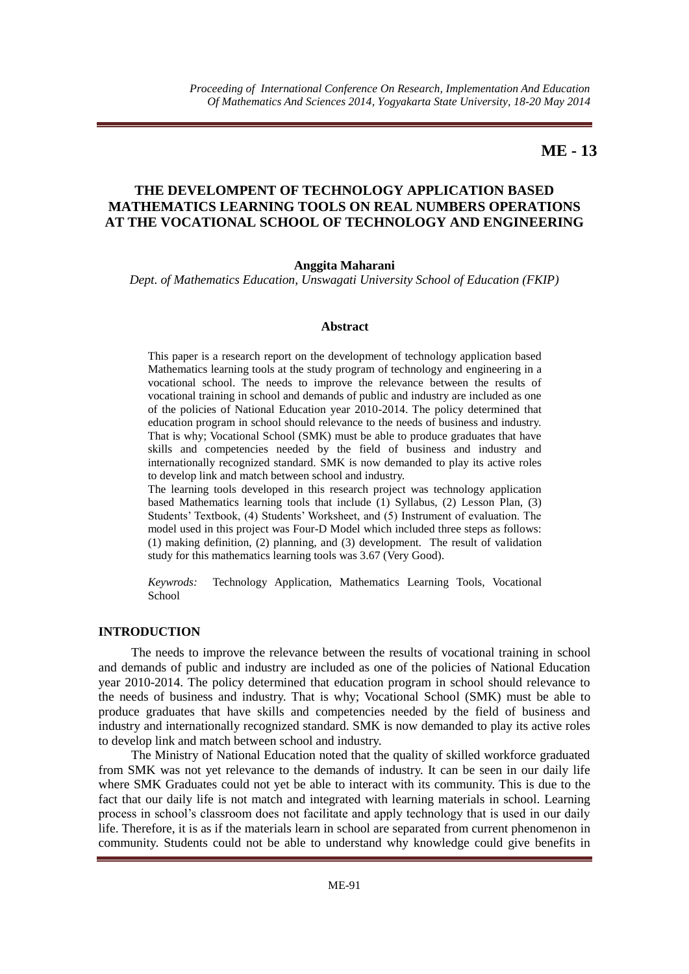# **ME - 13**

# **THE DEVELOMPENT OF TECHNOLOGY APPLICATION BASED MATHEMATICS LEARNING TOOLS ON REAL NUMBERS OPERATIONS AT THE VOCATIONAL SCHOOL OF TECHNOLOGY AND ENGINEERING**

#### **Anggita Maharani**

*Dept. of Mathematics Education, Unswagati University School of Education (FKIP)*

#### **Abstract**

This paper is a research report on the development of technology application based Mathematics learning tools at the study program of technology and engineering in a vocational school. The needs to improve the relevance between the results of vocational training in school and demands of public and industry are included as one of the policies of National Education year 2010-2014. The policy determined that education program in school should relevance to the needs of business and industry. That is why; Vocational School (SMK) must be able to produce graduates that have skills and competencies needed by the field of business and industry and internationally recognized standard. SMK is now demanded to play its active roles to develop link and match between school and industry.

The learning tools developed in this research project was technology application based Mathematics learning tools that include (1) Syllabus, (2) Lesson Plan, (3) Students' Textbook, (4) Students' Worksheet, and (5) Instrument of evaluation. The model used in this project was Four-D Model which included three steps as follows: (1) making definition, (2) planning, and (3) development. The result of validation study for this mathematics learning tools was 3.67 (Very Good).

*Keywrods:* Technology Application, Mathematics Learning Tools, Vocational School

#### **INTRODUCTION**

The needs to improve the relevance between the results of vocational training in school and demands of public and industry are included as one of the policies of National Education year 2010-2014. The policy determined that education program in school should relevance to the needs of business and industry. That is why; Vocational School (SMK) must be able to produce graduates that have skills and competencies needed by the field of business and industry and internationally recognized standard. SMK is now demanded to play its active roles to develop link and match between school and industry.

The Ministry of National Education noted that the quality of skilled workforce graduated from SMK was not yet relevance to the demands of industry. It can be seen in our daily life where SMK Graduates could not yet be able to interact with its community. This is due to the fact that our daily life is not match and integrated with learning materials in school. Learning process in school's classroom does not facilitate and apply technology that is used in our daily life. Therefore, it is as if the materials learn in school are separated from current phenomenon in community. Students could not be able to understand why knowledge could give benefits in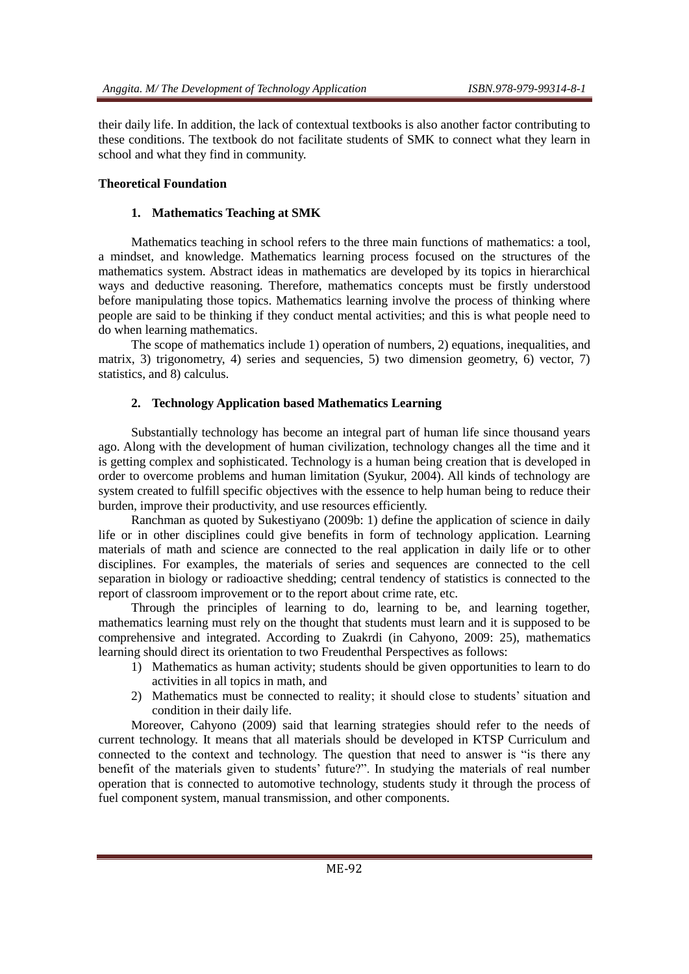their daily life. In addition, the lack of contextual textbooks is also another factor contributing to these conditions. The textbook do not facilitate students of SMK to connect what they learn in school and what they find in community.

## **Theoretical Foundation**

### **1. Mathematics Teaching at SMK**

Mathematics teaching in school refers to the three main functions of mathematics: a tool, a mindset, and knowledge. Mathematics learning process focused on the structures of the mathematics system. Abstract ideas in mathematics are developed by its topics in hierarchical ways and deductive reasoning. Therefore, mathematics concepts must be firstly understood before manipulating those topics. Mathematics learning involve the process of thinking where people are said to be thinking if they conduct mental activities; and this is what people need to do when learning mathematics.

The scope of mathematics include 1) operation of numbers, 2) equations, inequalities, and matrix, 3) trigonometry, 4) series and sequencies, 5) two dimension geometry, 6) vector, 7) statistics, and 8) calculus.

### **2. Technology Application based Mathematics Learning**

Substantially technology has become an integral part of human life since thousand years ago. Along with the development of human civilization, technology changes all the time and it is getting complex and sophisticated. Technology is a human being creation that is developed in order to overcome problems and human limitation (Syukur, 2004). All kinds of technology are system created to fulfill specific objectives with the essence to help human being to reduce their burden, improve their productivity, and use resources efficiently.

Ranchman as quoted by Sukestiyano (2009b: 1) define the application of science in daily life or in other disciplines could give benefits in form of technology application. Learning materials of math and science are connected to the real application in daily life or to other disciplines. For examples, the materials of series and sequences are connected to the cell separation in biology or radioactive shedding; central tendency of statistics is connected to the report of classroom improvement or to the report about crime rate, etc.

Through the principles of learning to do, learning to be, and learning together, mathematics learning must rely on the thought that students must learn and it is supposed to be comprehensive and integrated. According to Zuakrdi (in Cahyono, 2009: 25), mathematics learning should direct its orientation to two Freudenthal Perspectives as follows:

- 1) Mathematics as human activity; students should be given opportunities to learn to do activities in all topics in math, and
- 2) Mathematics must be connected to reality; it should close to students' situation and condition in their daily life.

Moreover, Cahyono (2009) said that learning strategies should refer to the needs of current technology. It means that all materials should be developed in KTSP Curriculum and connected to the context and technology. The question that need to answer is "is there any benefit of the materials given to students' future?". In studying the materials of real number operation that is connected to automotive technology, students study it through the process of fuel component system, manual transmission, and other components.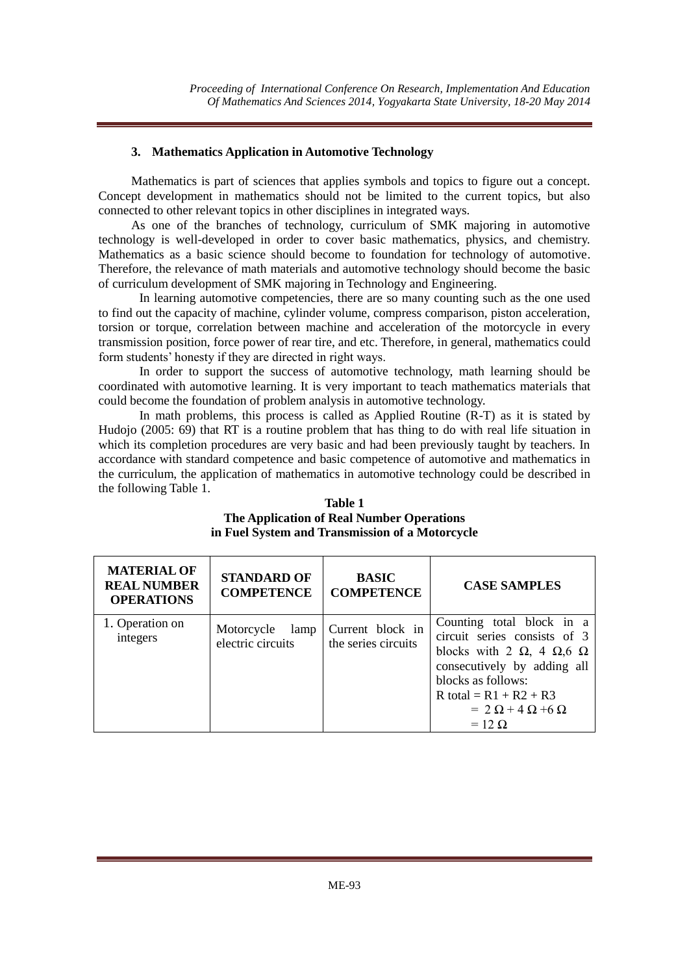# **3. Mathematics Application in Automotive Technology**

Mathematics is part of sciences that applies symbols and topics to figure out a concept. Concept development in mathematics should not be limited to the current topics, but also connected to other relevant topics in other disciplines in integrated ways.

As one of the branches of technology, curriculum of SMK majoring in automotive technology is well-developed in order to cover basic mathematics, physics, and chemistry. Mathematics as a basic science should become to foundation for technology of automotive. Therefore, the relevance of math materials and automotive technology should become the basic of curriculum development of SMK majoring in Technology and Engineering.

In learning automotive competencies, there are so many counting such as the one used to find out the capacity of machine, cylinder volume, compress comparison, piston acceleration, torsion or torque, correlation between machine and acceleration of the motorcycle in every transmission position, force power of rear tire, and etc. Therefore, in general, mathematics could form students' honesty if they are directed in right ways.

In order to support the success of automotive technology, math learning should be coordinated with automotive learning. It is very important to teach mathematics materials that could become the foundation of problem analysis in automotive technology.

In math problems, this process is called as Applied Routine (R-T) as it is stated by Hudojo (2005: 69) that RT is a routine problem that has thing to do with real life situation in which its completion procedures are very basic and had been previously taught by teachers. In accordance with standard competence and basic competence of automotive and mathematics in the curriculum, the application of mathematics in automotive technology could be described in the following Table 1.

| <b>Table 1</b>                                  |
|-------------------------------------------------|
| The Application of Real Number Operations       |
| in Fuel System and Transmission of a Motorcycle |

| <b>MATERIAL OF</b><br><b>REAL NUMBER</b><br><b>OPERATIONS</b> | <b>STANDARD OF</b><br><b>COMPETENCE</b> | <b>BASIC</b><br><b>COMPETENCE</b>       | <b>CASE SAMPLES</b>                                                                                                                                                                                                                                   |
|---------------------------------------------------------------|-----------------------------------------|-----------------------------------------|-------------------------------------------------------------------------------------------------------------------------------------------------------------------------------------------------------------------------------------------------------|
| 1. Operation on<br>integers                                   | Motorcycle<br>lamp<br>electric circuits | Current block in<br>the series circuits | Counting total block in a<br>circuit series consists of 3<br>blocks with 2 $\Omega$ , 4 $\Omega$ , 6 $\Omega$<br>consecutively by adding all<br>blocks as follows:<br>R total = $R1 + R2 + R3$<br>$= 2 \Omega + 4 \Omega + 6 \Omega$<br>$= 12 \Omega$ |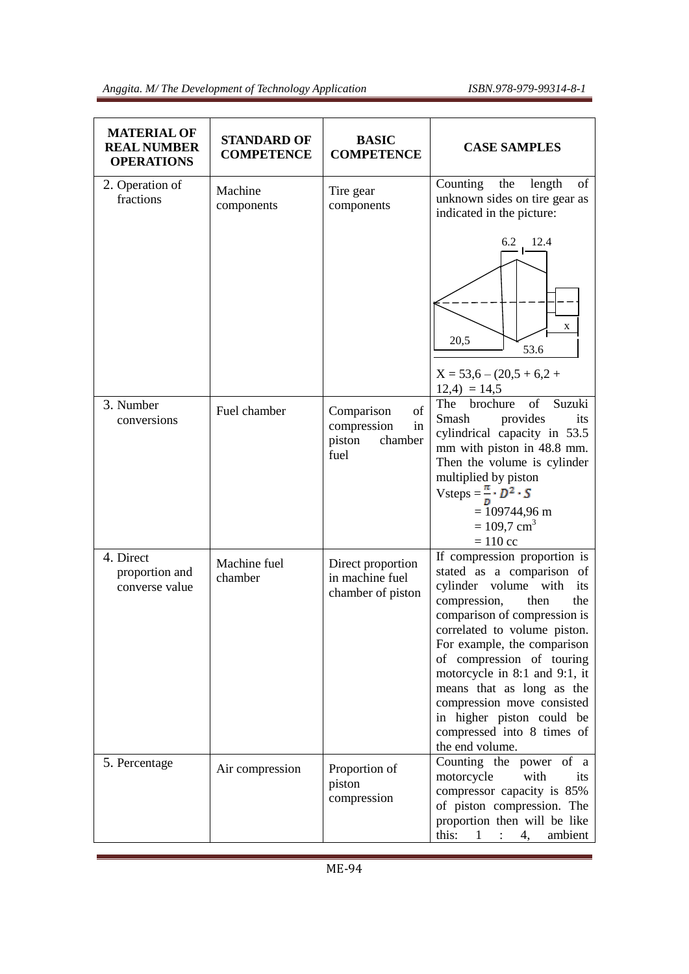<u> 1980 - Johann Barnett, fransk politiker (</u>

| <b>MATERIAL OF</b><br><b>REAL NUMBER</b><br><b>OPERATIONS</b> | <b>STANDARD OF</b><br><b>COMPETENCE</b> | <b>BASIC</b><br><b>COMPETENCE</b>                                  | <b>CASE SAMPLES</b>                                                                                                                                                                                                                                                                                                                                                                                                           |
|---------------------------------------------------------------|-----------------------------------------|--------------------------------------------------------------------|-------------------------------------------------------------------------------------------------------------------------------------------------------------------------------------------------------------------------------------------------------------------------------------------------------------------------------------------------------------------------------------------------------------------------------|
| 2. Operation of<br>fractions                                  | Machine<br>components                   | Tire gear<br>components                                            | Counting<br>length<br>of<br>the<br>unknown sides on tire gear as<br>indicated in the picture:                                                                                                                                                                                                                                                                                                                                 |
|                                                               |                                         |                                                                    | 6.2<br>12.4<br>X<br>20,5<br>53.6<br>$X = 53,6 - (20,5 + 6,2 +$<br>$12,4$ = 14,5                                                                                                                                                                                                                                                                                                                                               |
| 3. Number<br>conversions                                      | Fuel chamber                            | of<br>Comparison<br>compression<br>in<br>piston<br>chamber<br>fuel | Suzuki<br>The<br>brochure<br>of<br>Smash<br>provides<br>its<br>cylindrical capacity in 53.5<br>mm with piston in 48.8 mm.<br>Then the volume is cylinder<br>multiplied by piston<br>Vsteps = $\frac{\pi}{p} \cdot D^2 \cdot S$<br>$= 109744,96 \text{ m}$<br>$= 109.7$ cm <sup>3</sup><br>$= 110$ cc                                                                                                                          |
| 4. Direct<br>proportion and<br>converse value                 | Machine fuel<br>chamber                 | Direct proportion<br>in machine fuel<br>chamber of piston          | If compression proportion is<br>stated as a comparison of<br>cylinder volume with<br>its<br>compression,<br>then<br>the<br>comparison of compression is<br>correlated to volume piston.<br>For example, the comparison<br>of compression of touring<br>motorcycle in 8:1 and 9:1, it<br>means that as long as the<br>compression move consisted<br>in higher piston could be<br>compressed into 8 times of<br>the end volume. |
| 5. Percentage                                                 | Air compression                         | Proportion of<br>piston<br>compression                             | Counting the power of a<br>motorcycle<br>with<br>its<br>compressor capacity is 85%<br>of piston compression. The<br>proportion then will be like<br>this:<br>$\mathbf{1}$<br>$\mathbf{L}$<br>4,<br>ambient                                                                                                                                                                                                                    |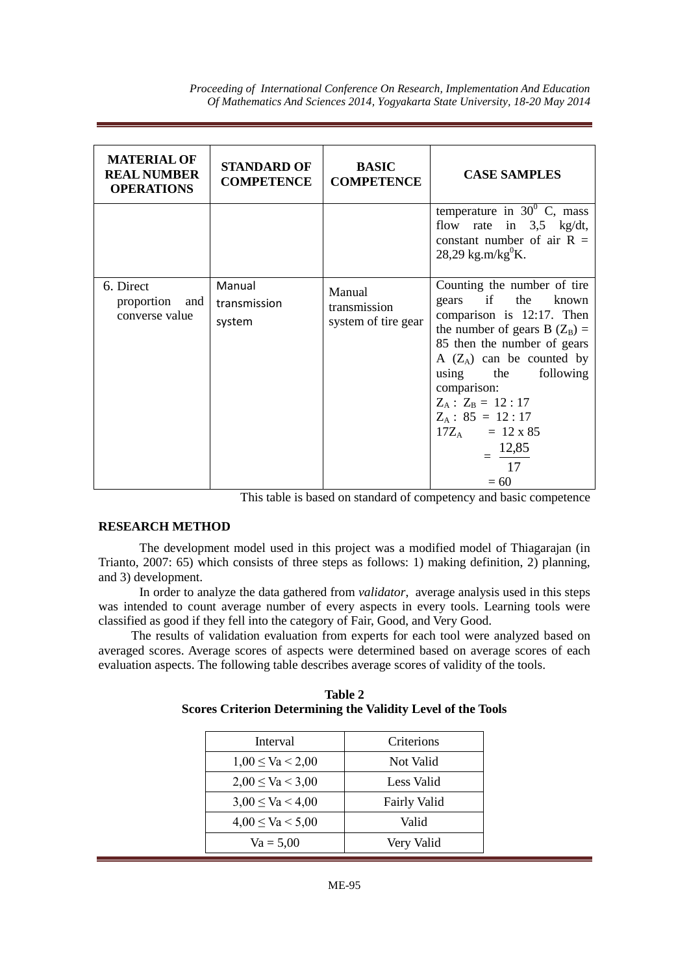*Proceeding of International Conference On Research, Implementation And Education Of Mathematics And Sciences 2014, Yogyakarta State University, 18-20 May 2014* 

| <b>MATERIAL OF</b><br><b>REAL NUMBER</b><br><b>OPERATIONS</b> | <b>STANDARD OF</b><br><b>COMPETENCE</b> | <b>BASIC</b><br><b>COMPETENCE</b>             | <b>CASE SAMPLES</b>                                                                                                                                                                                                                                                                                                                   |
|---------------------------------------------------------------|-----------------------------------------|-----------------------------------------------|---------------------------------------------------------------------------------------------------------------------------------------------------------------------------------------------------------------------------------------------------------------------------------------------------------------------------------------|
|                                                               |                                         |                                               | temperature in $30^{\circ}$ C, mass<br>flow rate in $3,5$ kg/dt,<br>constant number of air $R =$<br>28,29 kg.m/kg $^0$ K.                                                                                                                                                                                                             |
| 6. Direct<br>proportion and<br>converse value                 | Manual<br>transmission<br>system        | Manual<br>transmission<br>system of tire gear | Counting the number of tire<br>gears if the known<br>comparison is 12:17. Then<br>the number of gears B $(Z_B)$ =<br>85 then the number of gears<br>A $(Z_A)$ can be counted by<br>using the following<br>comparison:<br>$Z_A$ : $Z_B$ = 12:17<br>$Z_A$ : 85 = 12:17<br>$17Z_A = 12 \times 85$<br>$= \frac{12,85}{ }$<br>17<br>$= 60$ |

This table is based on standard of competency and basic competence

#### **RESEARCH METHOD**

The development model used in this project was a modified model of Thiagarajan (in Trianto, 2007: 65) which consists of three steps as follows: 1) making definition, 2) planning, and 3) development.

In order to analyze the data gathered from *validator*, average analysis used in this steps was intended to count average number of every aspects in every tools. Learning tools were classified as good if they fell into the category of Fair, Good, and Very Good.

The results of validation evaluation from experts for each tool were analyzed based on averaged scores. Average scores of aspects were determined based on average scores of each evaluation aspects. The following table describes average scores of validity of the tools.

| Table 2                                                             |  |
|---------------------------------------------------------------------|--|
| <b>Scores Criterion Determining the Validity Level of the Tools</b> |  |

| Interval              | Criterions          |
|-----------------------|---------------------|
| $1,00 \leq Va < 2,00$ | Not Valid           |
| $2,00 \leq Va < 3,00$ | Less Valid          |
| $3,00 \leq Va < 4,00$ | <b>Fairly Valid</b> |
| $4,00 \leq Va < 5,00$ | Valid               |
| $Va = 5,00$           | Very Valid          |
|                       |                     |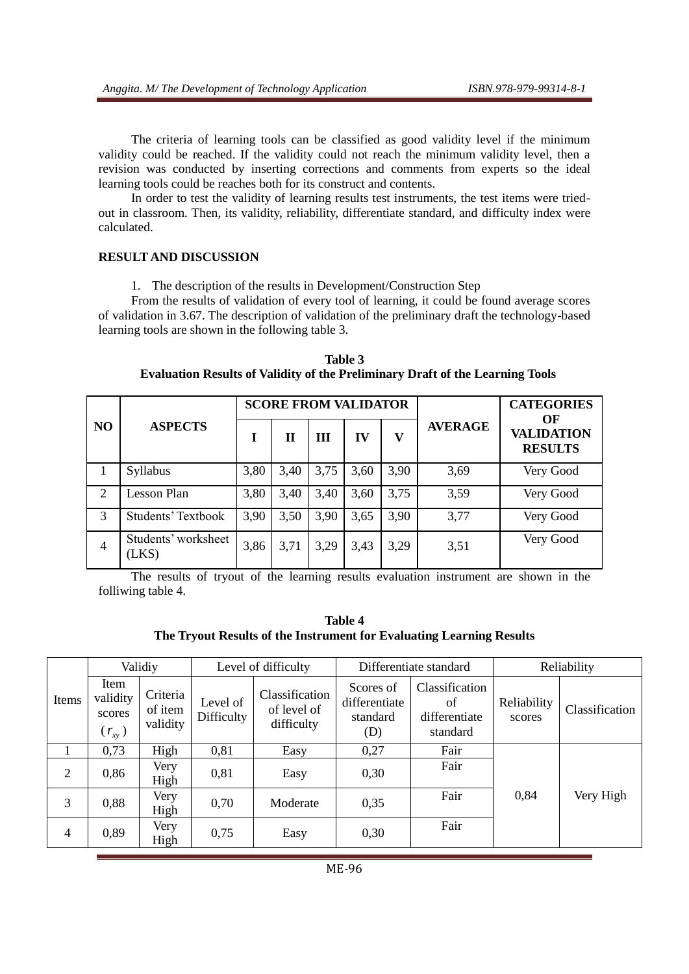The criteria of learning tools can be classified as good validity level if the minimum validity could be reached. If the validity could not reach the minimum validity level, then a revision was conducted by inserting corrections and comments from experts so the ideal learning tools could be reaches both for its construct and contents.

In order to test the validity of learning results test instruments, the test items were triedout in classroom. Then, its validity, reliability, differentiate standard, and difficulty index were calculated.

#### **RESULT AND DISCUSSION**

1. The description of the results in Development/Construction Step

From the results of validation of every tool of learning, it could be found average scores of validation in 3.67. The description of validation of the preliminary draft the technology-based learning tools are shown in the following table 3.

**Table 3 Evaluation Results of Validity of the Preliminary Draft of the Learning Tools**

|                |                              |      | <b>SCORE FROM VALIDATOR</b> |      |      |      |                | <b>CATEGORIES</b>                         |
|----------------|------------------------------|------|-----------------------------|------|------|------|----------------|-------------------------------------------|
| N <sub>O</sub> | <b>ASPECTS</b>               | I    | Н                           | Ш    | IV   | v    | <b>AVERAGE</b> | OF<br><b>VALIDATION</b><br><b>RESULTS</b> |
|                | Syllabus                     | 3,80 | 3,40                        | 3,75 | 3,60 | 3,90 | 3,69           | Very Good                                 |
| 2              | Lesson Plan                  | 3,80 | 3,40                        | 3,40 | 3,60 | 3,75 | 3,59           | Very Good                                 |
| 3              | <b>Students' Textbook</b>    | 3,90 | 3,50                        | 3,90 | 3,65 | 3,90 | 3,77           | Very Good                                 |
| 4              | Students' worksheet<br>(LKS) | 3,86 | 3,71                        | 3,29 | 3,43 | 3,29 | 3,51           | Very Good                                 |

The results of tryout of the learning results evaluation instrument are shown in the folliwing table 4.

**Table 4 The Tryout Results of the Instrument for Evaluating Learning Results** 

|                |                                          | Validiy                         |                        | Level of difficulty                         |                                               | Differentiate standard                            |                       | Reliability    |
|----------------|------------------------------------------|---------------------------------|------------------------|---------------------------------------------|-----------------------------------------------|---------------------------------------------------|-----------------------|----------------|
| Items          | Item<br>validity<br>scores<br>$(r_{xy})$ | Criteria<br>of item<br>validity | Level of<br>Difficulty | Classification<br>of level of<br>difficulty | Scores of<br>differentiate<br>standard<br>(D) | Classification<br>of<br>differentiate<br>standard | Reliability<br>scores | Classification |
| 1              | 0,73                                     | High                            | 0,81                   | Easy                                        | 0,27                                          | Fair                                              |                       |                |
| $\overline{2}$ | 0,86                                     | Very<br>High                    | 0,81                   | Easy                                        | 0,30                                          | Fair                                              |                       |                |
| 3              | 0,88                                     | Very<br>High                    | 0,70                   | Moderate                                    | 0,35                                          | Fair                                              | 0,84                  | Very High      |
| $\overline{4}$ | 0,89                                     | Very<br>High                    | 0,75                   | Easy                                        | 0,30                                          | Fair                                              |                       |                |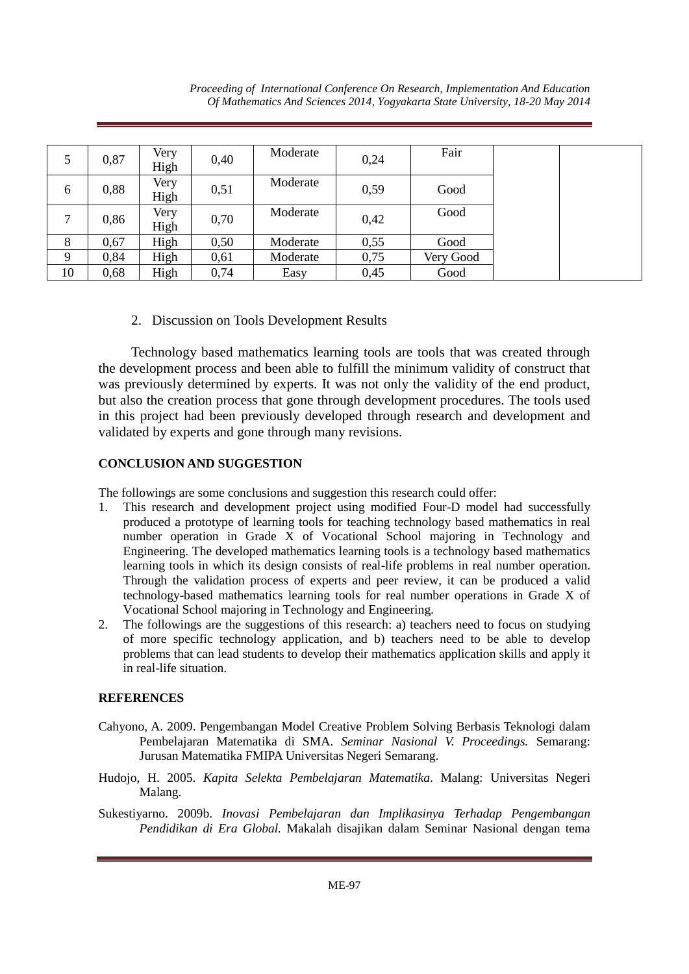|    | 0,87 | Very | 0,40 | Moderate | 0,24 | Fair      |
|----|------|------|------|----------|------|-----------|
|    |      | High |      |          |      |           |
| 6  | 0,88 | Very | 0,51 | Moderate | 0,59 | Good      |
|    |      | High |      |          |      |           |
|    |      | Very |      | Moderate |      | Good      |
|    | 0,86 | High | 0,70 |          | 0,42 |           |
| 8  | 0,67 | High | 0,50 | Moderate | 0,55 | Good      |
| Q  | 0,84 | High | 0,61 | Moderate | 0,75 | Very Good |
| 10 | 0,68 | High | 0,74 | Easy     | 0,45 | Good      |

2. Discussion on Tools Development Results

Technology based mathematics learning tools are tools that was created through the development process and been able to fulfill the minimum validity of construct that was previously determined by experts. It was not only the validity of the end product, but also the creation process that gone through development procedures. The tools used in this project had been previously developed through research and development and validated by experts and gone through many revisions.

# **CONCLUSION AND SUGGESTION**

The followings are some conclusions and suggestion this research could offer:

- 1. This research and development project using modified Four-D model had successfully produced a prototype of learning tools for teaching technology based mathematics in real number operation in Grade X of Vocational School majoring in Technology and Engineering. The developed mathematics learning tools is a technology based mathematics learning tools in which its design consists of real-life problems in real number operation. Through the validation process of experts and peer review, it can be produced a valid technology-based mathematics learning tools for real number operations in Grade X of Vocational School majoring in Technology and Engineering.
- 2. The followings are the suggestions of this research: a) teachers need to focus on studying of more specific technology application, and b) teachers need to be able to develop problems that can lead students to develop their mathematics application skills and apply it in real-life situation.

# **REFERENCES**

- Cahyono, A. 2009. Pengembangan Model Creative Problem Solving Berbasis Teknologi dalam Pembelajaran Matematika di SMA. *Seminar Nasional V. Proceedings.* Semarang: Jurusan Matematika FMIPA Universitas Negeri Semarang.
- Hudojo, H. 2005. *Kapita Selekta Pembelajaran Matematika*. Malang: Universitas Negeri Malang.
- Sukestiyarno. 2009b. *Inovasi Pembelajaran dan Implikasinya Terhadap Pengembangan Pendidikan di Era Global.* Makalah disajikan dalam Seminar Nasional dengan tema